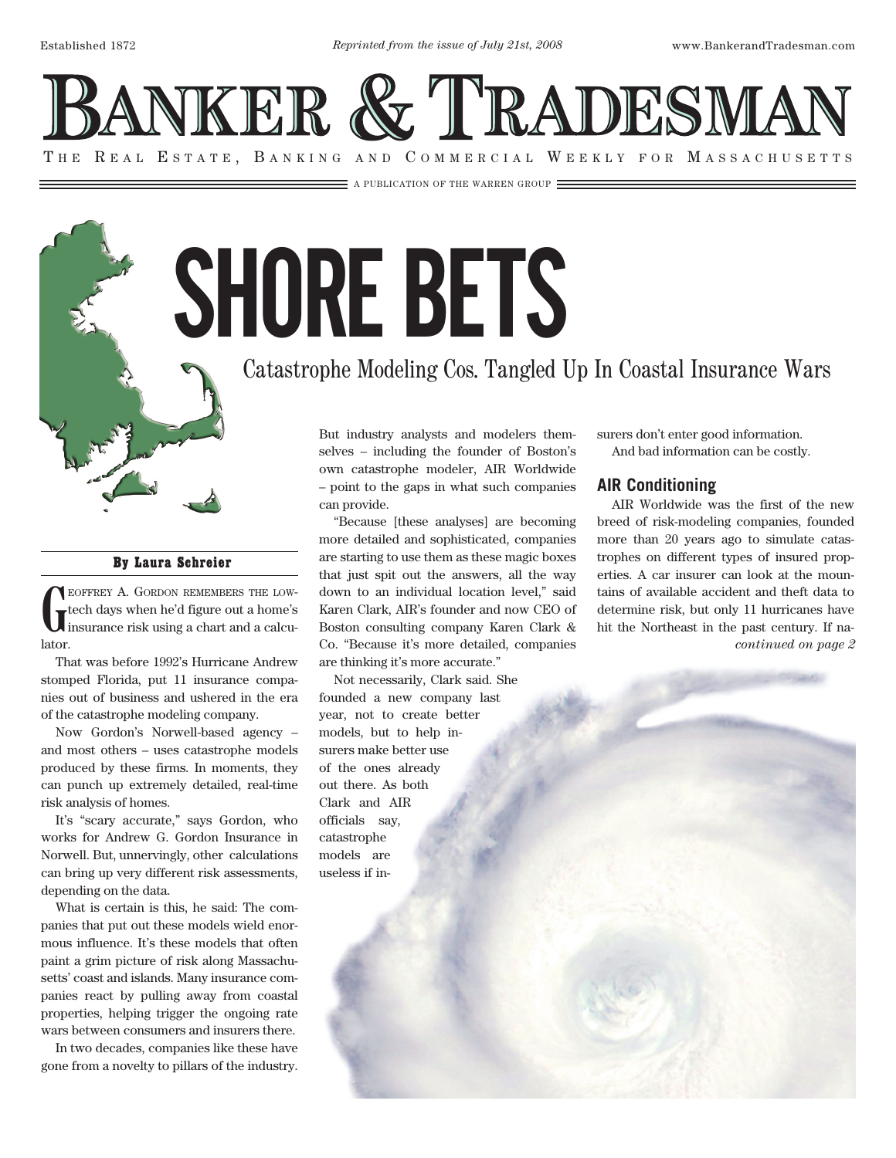NKER & TRADESMA THE REAL ESTATE, BANKING AND COMMERCIAL WEEKLY FOR MASSACHUSETTS

A PUBLICATION OF THE WARREN GROUP

SHORE BETS

## Catastrophe Modeling Cos. Tangled Up In Coastal Insurance Wars

By Laura Schreier

**G** eoffrey A. Gordon remembers the lowtech days when he'd figure out a home's insurance risk using a chart and a calculator.

That was before 1992's Hurricane Andrew stomped Florida, put 11 insurance companies out of business and ushered in the era of the catastrophe modeling company.

Now Gordon's Norwell-based agency – and most others – uses catastrophe models produced by these firms. In moments, they can punch up extremely detailed, real-time risk analysis of homes.

It's "scary accurate," says Gordon, who works for Andrew G. Gordon Insurance in Norwell. But, unnervingly, other calculations can bring up very different risk assessments, depending on the data.

What is certain is this, he said: The companies that put out these models wield enormous influence. It's these models that often paint a grim picture of risk along Massachusetts' coast and islands. Many insurance companies react by pulling away from coastal properties, helping trigger the ongoing rate wars between consumers and insurers there.

In two decades, companies like these have gone from a novelty to pillars of the industry.

But industry analysts and modelers themselves – including the founder of Boston's own catastrophe modeler, AIR Worldwide – point to the gaps in what such companies can provide.

"Because [these analyses] are becoming more detailed and sophisticated, companies are starting to use them as these magic boxes that just spit out the answers, all the way down to an individual location level," said Karen Clark, AIR's founder and now CEO of Boston consulting company Karen Clark & Co. "Because it's more detailed, companies are thinking it's more accurate."

Not necessarily, Clark said. She founded a new company last year, not to create better models, but to help insurers make better use of the ones already out there. As both Clark and AIR officials say, catastrophe models are useless if insurers don't enter good information. And bad information can be costly.

## **AIR Conditioning**

AIR Worldwide was the first of the new breed of risk-modeling companies, founded more than 20 years ago to simulate catastrophes on different types of insured properties. A car insurer can look at the mountains of available accident and theft data to determine risk, but only 11 hurricanes have hit the Northeast in the past century. If na*continued on page 2*